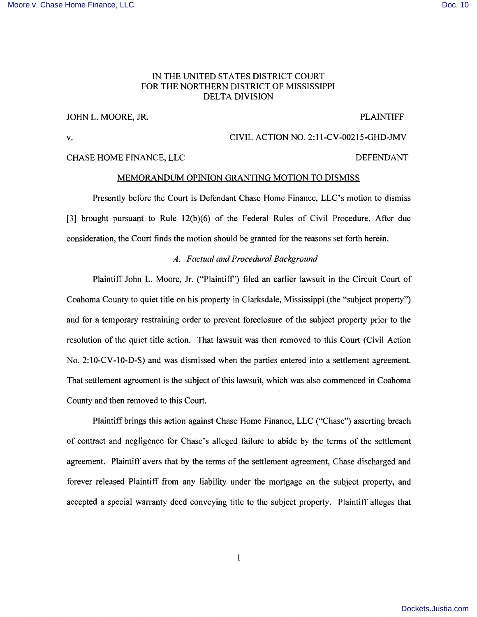## IN THE UNITED STATES DISTRICT COURT FOR THE NORTHERN DISTRICT OF MISSISSIPPI DELTA DIVISION

# JOHN L. MOORE, JR. PLAINTIFF

v. CIVIL ACTION NO. 2:11-CV-00215-GHD-JMV CHASE HOME FINANCE, LLC DEFENDANT

## MEMORANDUM OPINION GRANTING MOTION TO DISMISS

Presently before the Court is Defendant Chase Home Finance, LLC's motion to dismiss [3] brought pursuant to Rule 12(b)(6) of the Federal Rules of Civil Procedure. After due consideration, the Court finds the motion should be granted for the reasons set forth herein.

## *A. Factual and Procedural Background*

Plaintiff John L. Moore, Jr. ("Plaintiff') filed an earlier lawsuit in the Circuit Court of Coahoma County to quiet title on his property in Clarksdale, Mississippi (the "subject property") and for a temporary restraining order to prevent foreclosure of the subject property prior to the resolution of the quiet title action. That lawsuit was then removed to this Court (Civil Action No. 2:10-CV-10-D-S) and was dismissed when the parties entered into a settlement agreement. That settlement agreement is the subject of this lawsuit, which was also commenced in Coahoma County and then removed to this Court.

Plaintiff brings this action against Chase Home Finance, LLC ("Chase") asserting breach of contract and negligence for Chase's alleged failure to abide by the terms of the settlement agreement. Plaintiff avers that by the terms of the settlement agreement, Chase discharged and forever released Plaintiff from any liability under the mortgage on the subject property, and accepted a special warranty deed conveying title to the subject property. Plaintiff alleges that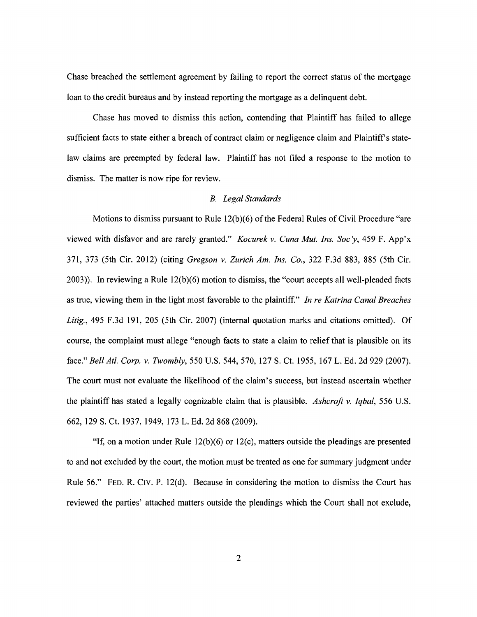Chase breached the settlement agreement by failing to report the correct status of the mortgage loan to the credit bureaus and by instead reporting the mortgage as a delinquent debt.

Chase has moved to dismiss this action, contending that Plaintiff has failed to allege sufficient facts to state either a breach of contract claim or negligence claim and Plaintiff s statelaw claims are preempted by federal law. Plaintiff has not filed a response to the motion to dismiss. The matter is now ripe for review.

## *B. Legal Standards*

Motions to dismiss pursuant to Rule  $12(b)(6)$  of the Federal Rules of Civil Procedure "are viewed with disfavor and are rarely granted." *Kocurek* v. *Cuna Mut. Ins. Soc 'y,* 459 F. App'x 371, 373 (5th Cir. 2012) (citing *Gregson* v. *Zurich Am. Ins. Co.,* 322 F.3d 883, 885 (5th Cir.  $2003$ )). In reviewing a Rule  $12(b)(6)$  motion to dismiss, the "court accepts all well-pleaded facts as true, viewing them in the light most favorable to the plaintiff." *In re Katrina Canal Breaches*  Litig., 495 F.3d 191, 205 (5th Cir. 2007) (internal quotation marks and citations omitted). Of course, the complaint must allege "enough facts to state a claim to relief that is plausible on its face." *Bell Atl. Corp.* v. *Twombly,* 550 U.S. 544, 570, 127 S. Ct. 1955, 167 L. Ed. 2d 929 (2007). The court must not evaluate the likelihood of the claim's success, but instead ascertain whether the plaintiff has stated a legally cognizable claim that is plausible. *Ashcroft* v. *Iqbal,* 556 U.S. 662, 129 S. Ct. 1937, 1949, 173 L. Ed. 2d 868 (2009).

"If, on a motion under Rule  $12(b)(6)$  or  $12(c)$ , matters outside the pleadings are presented to and not excluded by the court, the motion must be treated as one for summary judgment under Rule 56." FED. R. CIV. P. 12(d). Because in considering the motion to dismiss the Court has reviewed the parties' attached matters outside the pleadings which the Court shall not exclude,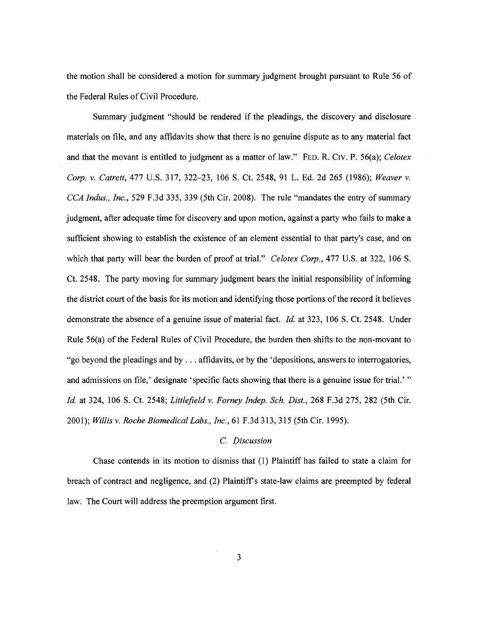the motion shall be considered a motion for summary judgment brought pursuant to Rule 56 of the Federal Rules of Civil Procedure.

Summary judgment "should be rendered if the pleadings, the discovery and disclosure materials on file, and any affidavits show that there is no genuine dispute as to any material fact and that the movant is entitled to judgment as a matter of law." FED. R. Cry. P. 56(a); *Celotex Corp. v. Catrett, 477 U.S. 317, 322-23, 106 S. Ct. 2548, 91 L. Ed. 2d 265 (1986); Weaver v. CCA Indus., Inc.,* 529 F.3d 335, 339 (5th Cir. 2008). The rule "mandates the entry of summary judgment, after adequate time for discovery and upon motion, against a party who fails to make a sufficient showing to establish the existence of an element essential to that party's case, and on which that party will bear the burden of proof at trial." *Celotex Corp.*, 477 U.S. at 322, 106 S. Ct. 2548. The party moving for summary judgment bears the initial responsibility of informing the district court of the basis for its motion and identifying those portions of the record it believes demonstrate the absence of a genuine issue of material fact. *Id.* at 323, 106 S. Ct. 2548. Under Rule 56(a) of the Federal Rules of Civil Procedure, the burden then shifts to the non-movant to "go beyond the pleadings and by ... affidavits, or by the 'depositions, answers to interrogatories, and admissions on file,' designate' specific facts showing that there is a genuine issue for trial.' " *Id.* at 324, 106 S. Ct. 2548; *Littlefield* v. *Forney Indep. Sch. Dist.,* 268 F.3d 275, 282 (5th Cir. *2001); Willis* v. *Roche Biomedical Labs., Inc.,* 61 F.3d 313,315 (5th Cir. 1995).

### C. *Discussion*

Chase contends in its motion to dismiss that (1) Plaintiff has failed to state a claim for breach of contract and negligence, and (2) Plaintiffs statelaw claims are preempted by federal law. The Court will address the preemption argument first.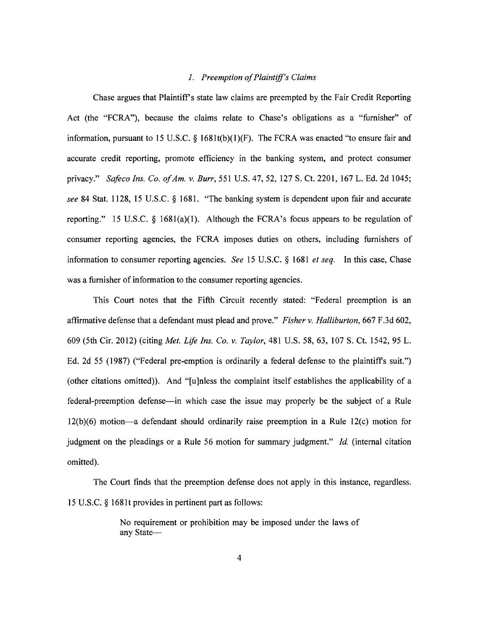## 1. Preemption of Plaintiff's Claims

Chase argues that Plaintiff's state law claims are preempted by the Fair Credit Reporting Act (the "FCRA"), because the claims relate to Chase's obligations as a "furnisher" of information, pursuant to 15 U.S.C.  $\frac{1}{8}$  1681t(b)(1)(F). The FCRA was enacted "to ensure fair and accurate credit reporting, promote efficiency in the banking system, and protect consumer privacy." *Safeco Ins. Co. ofAm.* v. *Burr,* 551 U.S. 47, 52, 127 S. Ct. 2201, 167 L. Ed. 2d 1045; *see* 84 Stat. 1128, 15 U.S.C. § 1681. "The banking system is dependent upon fair and accurate reporting." 15 U.S.C.  $\S$  1681(a)(1). Although the FCRA's focus appears to be regulation of consumer reporting agencies, the FCRA imposes duties on others, including furnishers of information to consumer reporting agencies. *See* 15 U.S.c. § 1681 *et seq.* In this case, Chase was a furnisher of information to the consumer reporting agencies.

This Court notes that the Fifth Circuit recently stated: "Federal preemption is an affirmative defense that a defendant must plead and prove." *Fisher* v. *Halliburton,* 667 F .3d 602, 609 (5th Cir. 2012) (citing *Met. Life Ins. Co.* v. *Taylor,* 481 U.S. 58, 63, 107 S. Ct. 1542, 95 L. Ed. 2d 55 (1987) ("Federal pre-emption is ordinarily a federal defense to the plaintiffs suit.") (other citations omitted)). And "[u]nless the complaint itself establishes the applicability of a federal-preemption defense—in which case the issue may properly be the subject of a Rule  $12(b)(6)$  motion—a defendant should ordinarily raise preemption in a Rule  $12(c)$  motion for judgment on the pleadings or a Rule 56 motion for summary judgment." *Id.* (internal citation omitted).

The Court finds that the preemption defense does not apply in this instance, regardless. 15 U.S.C. § 168lt provides in pertinent part as follows:

> No requirement or prohibition may be imposed under the laws of any State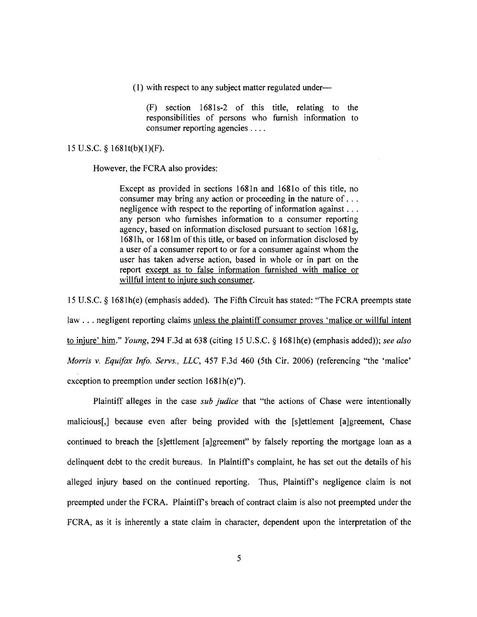(I) with respect to any subject matter regulated under-

 $(F)$  section  $1681s-2$  of this title, relating to the responsibilities of persons who furnish information to consumer reporting agencies ....

### 15 U.S.c. § 1681t(b)(l)(F).

However, the FCRA also provides:

Except as provided in sections 1681n and 16810 of this title, no consumer may bring any action or proceeding in the nature of ... negligence with respect to the reporting of information against .. . any person who furnishes information to a consumer reporting agency, based on information disclosed pursuant to section 1681g, 1681h, or 1681m of this title, or based on information disclosed by a user of a consumer report to or for a consumer against whom the user has taken adverse action, based in whole or in part on the report except as to false information furnished with malice or willful intent to injure such consumer.

15 U.S.c. § 1681h(e) (emphasis added). The Fifth Circuit has stated: "The FCRA preempts state law ... negligent reporting claims unless the plaintiff consumer proves 'malice or willful intent to injure' him." *Young*, 294 F.3d at 638 (citing 15 U.S.C. § 1681h(e) (emphasis added)); *see also Morris* v. *Equifax Info. Servs., LLC,* 457 F.3d 460 (5th Cir. 2006) (referencing "the 'malice' exception to preemption under section  $1681 h(e)$ ").

Plaintiff alleges in the case *sub judice* that "the actions of Chase were intentionally malicious[,] because even after being provided with the [s]ettlement [a]greement, Chase continued to breach the [s]ettlement [a]greement" by falsely reporting the mortgage loan as a delinquent debt to the credit bureaus. In Plaintiff's complaint, he has set out the details of his alleged injury based on the continued reporting. Thus, Plaintiff's negligence claim is not preempted under the FCRA. Plaintiff's breach of contract claim is also not preempted under the FCRA, as it is inherently a state claim in character, dependent upon the interpretation of the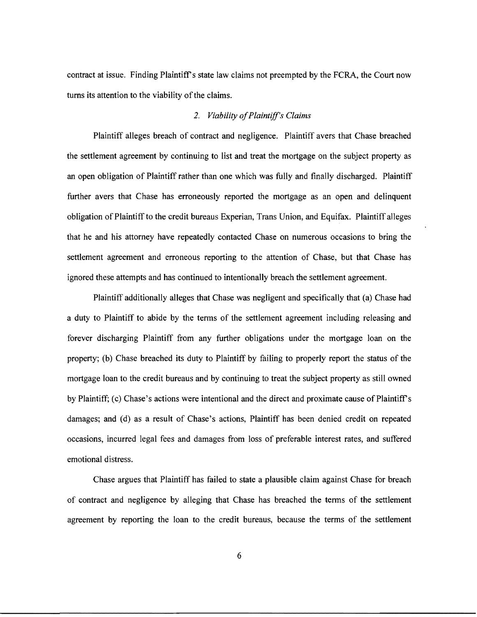contract at issue. Finding Plaintiff's state law claims not preempted by the FCRA, the Court now turns its attention to the viability of the claims.

## *2. Viability ofPlaintiff's Claims*

Plaintiff alleges breach of contract and negligence. Plaintiff avers that Chase breached the settlement agreement by continuing to list and treat the mortgage on the subject property as an open obligation of Plaintiff rather than one which was fully and finally discharged. Plaintiff further avers that Chase has erroneously reported the mortgage as an open and delinquent obligation of Plaintiff to the credit bureaus Experian, Trans Union, and Equifax. Plaintiff alleges that he and his attorney have repeatedly contacted Chase on numerous occasions to bring the settlement agreement and erroneous reporting to the attention of Chase, but that Chase has ignored these attempts and has continued to intentionally breach the settlement agreement.

Plaintiff additionally alleges that Chase was negligent and specifically that (a) Chase had a duty to Plaintiff to abide by the terms of the settlement agreement including releasing and forever discharging Plaintiff from any further obligations under the mortgage loan on the property; (b) Chase breached its duty to Plaintiff by failing to properly report the status of the mortgage loan to the credit bureaus and by continuing to treat the subject property as still owned by Plaintiff; (c) Chase's actions were intentional and the direct and proximate cause of Plaintiff's damages; and (d) as a result of Chase's actions, Plaintiff has been denied credit on repeated occasions, incurred legal fees and damages from loss of preferable interest rates, and suffered emotional distress.

Chase argues that Plaintiff has failed to state a plausible claim against Chase for breach of contract and negligence by alleging that Chase has breached the terms of the settlement agreement by reporting the loan to the credit bureaus, because the terms of the settlement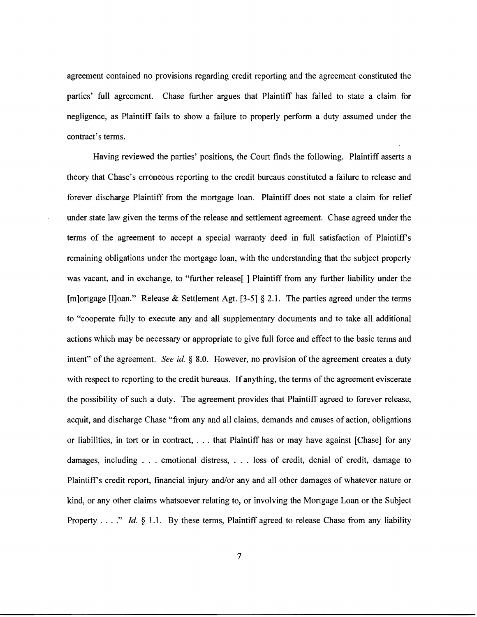agreement contained no provisions regarding credit reporting and the agreement constituted the parties' full agreement. Chase further argues that Plaintiff has failed to state a claim for negligence, as Plaintiff fails to show a failure to properly perform a duty assumed under the contract's terms.

Having reviewed the parties' positions, the Court finds the following. Plaintiff asserts a theory that Chase's erroneous reporting to the credit bureaus constituted a failure to release and forever discharge Plaintiff from the mortgage loan. Plaintiff does not state a claim for relief under state law given the terms of the release and settlement agreement. Chase agreed under the terms of the agreement to accept a special warranty deed in full satisfaction of Plaintiff's remaining obligations under the mortgage loan, with the understanding that the subject property was vacant, and in exchange, to "further release" | Plaintiff from any further liability under the [m]ortgage [I]oan." Release & Settlement Agt. [3-5]  $\S$  2.1. The parties agreed under the terms to "cooperate fully to execute any and all supplementary documents and to take all additional actions which may be necessary or appropriate to give full force and effect to the basic terms and intent" of the agreement. *See id.* § 8.0. However, no provision of the agreement creates a duty with respect to reporting to the credit bureaus. If anything, the terms of the agreement eviscerate the possibility of such a duty. The agreement provides that Plaintiff agreed to forever release, acquit, and discharge Chase "from any and all claims, demands and causes of action, obligations or liabilities, in tort or in contract, ... that Plaintiff has or may have against [Chase] for any damages, including . . . emotional distress, . . . loss of credit, denial of credit, damage to Plaintiff's credit report, financial injury and/or any and all other damages of whatever nature or kind, or any other claims whatsoever relating to, or involving the Mortgage Loan or the Subject Property . . . " *Id.* § 1.1. By these terms, Plaintiff agreed to release Chase from any liability